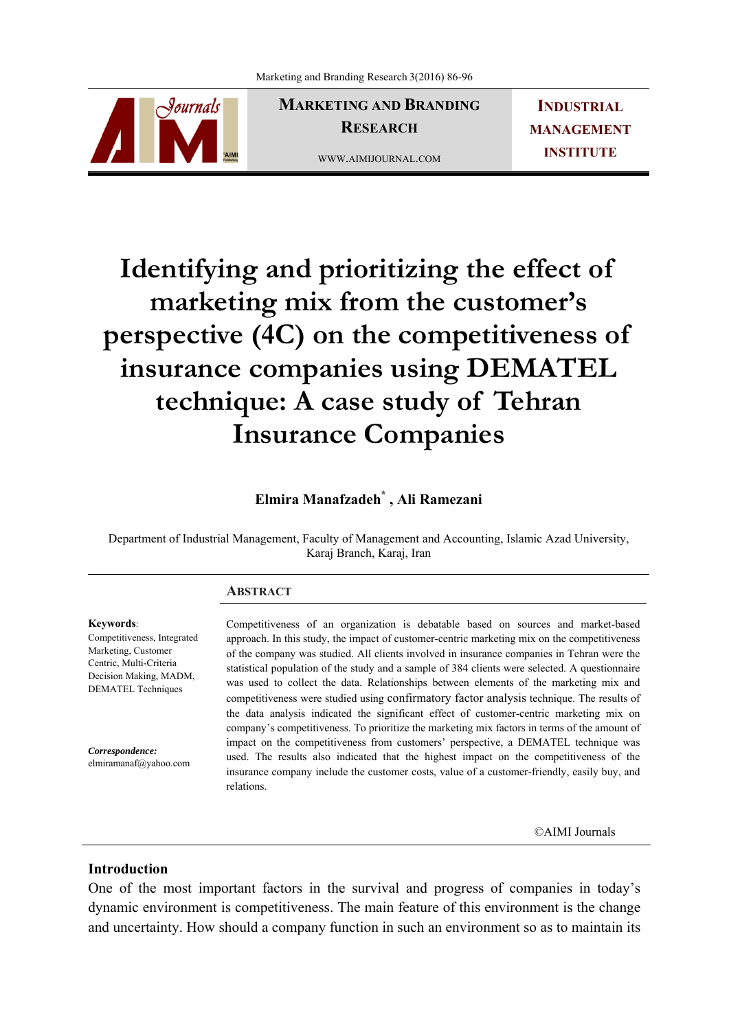

**MARKETING AND BRANDING RESEARCH**  WWW.AIMIJOURNAL.COM

**INDUSTRIAL MANAGEMENT INSTITUTE**

# **Identifying and prioritizing the effect of marketing mix from the customer's perspective (4C) on the competitiveness of insurance companies using DEMATEL technique: A case study of Tehran Insurance Companies**

## **Elmira Manafzadeh\* , Ali Ramezani**

Department of Industrial Management, Faculty of Management and Accounting, Islamic Azad University, Karaj Branch, Karaj, Iran

### **ABSTRACT**

**Keywords**: Competitiveness, Integrated Marketing, Customer Centric, Multi-Criteria Decision Making, MADM, DEMATEL Techniques

*Correspondence:*  elmiramanaf@yahoo.com Competitiveness of an organization is debatable based on sources and market-based approach. In this study, the impact of customer-centric marketing mix on the competitiveness of the company was studied. All clients involved in insurance companies in Tehran were the statistical population of the study and a sample of 384 clients were selected. A questionnaire was used to collect the data. Relationships between elements of the marketing mix and competitiveness were studied using confirmatory factor analysis technique. The results of the data analysis indicated the significant effect of customer-centric marketing mix on company's competitiveness. To prioritize the marketing mix factors in terms of the amount of impact on the competitiveness from customers' perspective, a DEMATEL technique was used. The results also indicated that the highest impact on the competitiveness of the insurance company include the customer costs, value of a customer-friendly, easily buy, and relations.

©AIMI Journals

## **Introduction**

One of the most important factors in the survival and progress of companies in today's dynamic environment is competitiveness. The main feature of this environment is the change and uncertainty. How should a company function in such an environment so as to maintain its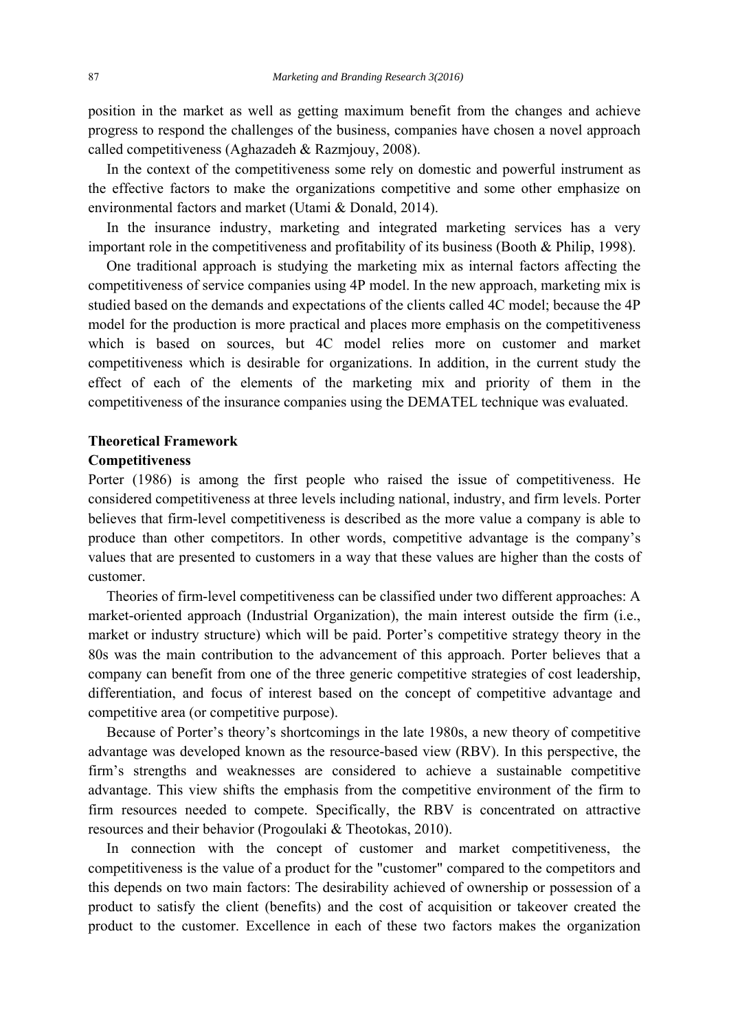position in the market as well as getting maximum benefit from the changes and achieve progress to respond the challenges of the business, companies have chosen a novel approach called competitiveness (Aghazadeh & Razmjouy, 2008).

 In the context of the competitiveness some rely on domestic and powerful instrument as the effective factors to make the organizations competitive and some other emphasize on environmental factors and market (Utami & Donald, 2014).

 In the insurance industry, marketing and integrated marketing services has a very important role in the competitiveness and profitability of its business (Booth & Philip, 1998).

 One traditional approach is studying the marketing mix as internal factors affecting the competitiveness of service companies using 4P model. In the new approach, marketing mix is studied based on the demands and expectations of the clients called 4C model; because the 4P model for the production is more practical and places more emphasis on the competitiveness which is based on sources, but 4C model relies more on customer and market competitiveness which is desirable for organizations. In addition, in the current study the effect of each of the elements of the marketing mix and priority of them in the competitiveness of the insurance companies using the DEMATEL technique was evaluated.

## **Theoretical Framework**

#### **Competitiveness**

Porter (1986) is among the first people who raised the issue of competitiveness. He considered competitiveness at three levels including national, industry, and firm levels. Porter believes that firm-level competitiveness is described as the more value a company is able to produce than other competitors. In other words, competitive advantage is the company's values that are presented to customers in a way that these values are higher than the costs of customer.

 Theories of firm-level competitiveness can be classified under two different approaches: A market-oriented approach (Industrial Organization), the main interest outside the firm (i.e., market or industry structure) which will be paid. Porter's competitive strategy theory in the 80s was the main contribution to the advancement of this approach. Porter believes that a company can benefit from one of the three generic competitive strategies of cost leadership, differentiation, and focus of interest based on the concept of competitive advantage and competitive area (or competitive purpose).

 Because of Porter's theory's shortcomings in the late 1980s, a new theory of competitive advantage was developed known as the resource-based view (RBV). In this perspective, the firm's strengths and weaknesses are considered to achieve a sustainable competitive advantage. This view shifts the emphasis from the competitive environment of the firm to firm resources needed to compete. Specifically, the RBV is concentrated on attractive resources and their behavior (Progoulaki & Theotokas, 2010).

 In connection with the concept of customer and market competitiveness, the competitiveness is the value of a product for the "customer" compared to the competitors and this depends on two main factors: The desirability achieved of ownership or possession of a product to satisfy the client (benefits) and the cost of acquisition or takeover created the product to the customer. Excellence in each of these two factors makes the organization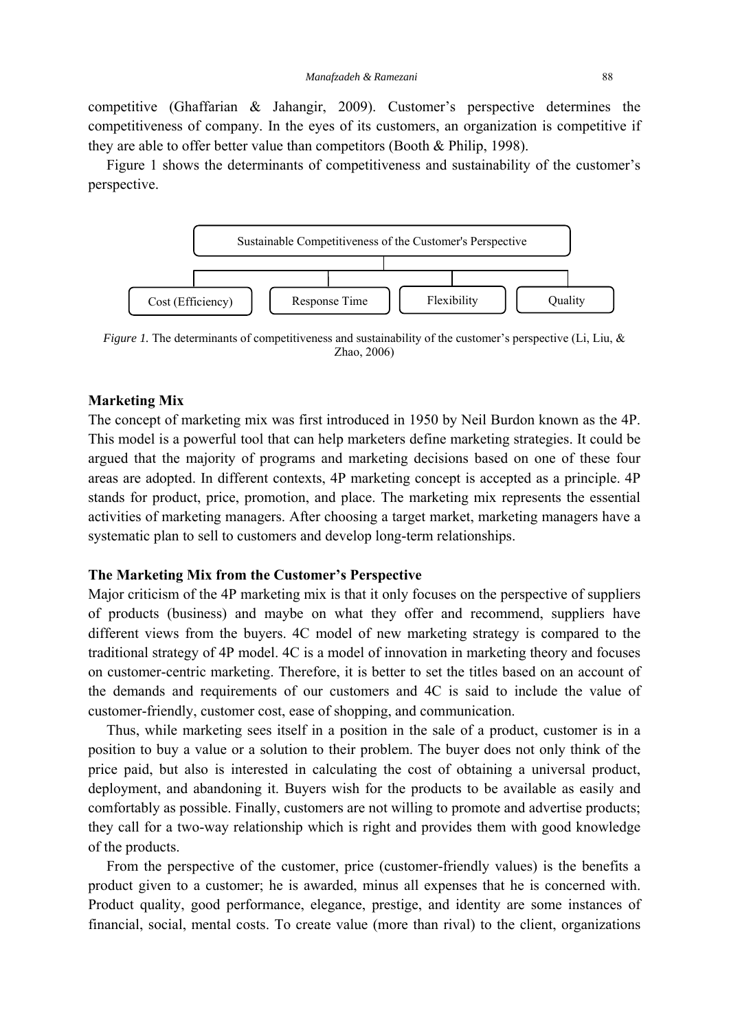competitive (Ghaffarian & Jahangir, 2009). Customer's perspective determines the competitiveness of company. In the eyes of its customers, an organization is competitive if they are able to offer better value than competitors (Booth & Philip, 1998).

 Figure 1 shows the determinants of competitiveness and sustainability of the customer's perspective.



*Figure 1.* The determinants of competitiveness and sustainability of the customer's perspective (Li, Liu, & Zhao, 2006)

## **Marketing Mix**

The concept of marketing mix was first introduced in 1950 by Neil Burdon known as the 4P. This model is a powerful tool that can help marketers define marketing strategies. It could be argued that the majority of programs and marketing decisions based on one of these four areas are adopted. In different contexts, 4P marketing concept is accepted as a principle. 4P stands for product, price, promotion, and place. The marketing mix represents the essential activities of marketing managers. After choosing a target market, marketing managers have a systematic plan to sell to customers and develop long-term relationships.

#### **The Marketing Mix from the Customer's Perspective**

Major criticism of the 4P marketing mix is that it only focuses on the perspective of suppliers of products (business) and maybe on what they offer and recommend, suppliers have different views from the buyers. 4C model of new marketing strategy is compared to the traditional strategy of 4P model. 4C is a model of innovation in marketing theory and focuses on customer-centric marketing. Therefore, it is better to set the titles based on an account of the demands and requirements of our customers and 4C is said to include the value of customer-friendly, customer cost, ease of shopping, and communication.

 Thus, while marketing sees itself in a position in the sale of a product, customer is in a position to buy a value or a solution to their problem. The buyer does not only think of the price paid, but also is interested in calculating the cost of obtaining a universal product, deployment, and abandoning it. Buyers wish for the products to be available as easily and comfortably as possible. Finally, customers are not willing to promote and advertise products; they call for a two-way relationship which is right and provides them with good knowledge of the products.

 From the perspective of the customer, price (customer-friendly values) is the benefits a product given to a customer; he is awarded, minus all expenses that he is concerned with. Product quality, good performance, elegance, prestige, and identity are some instances of financial, social, mental costs. To create value (more than rival) to the client, organizations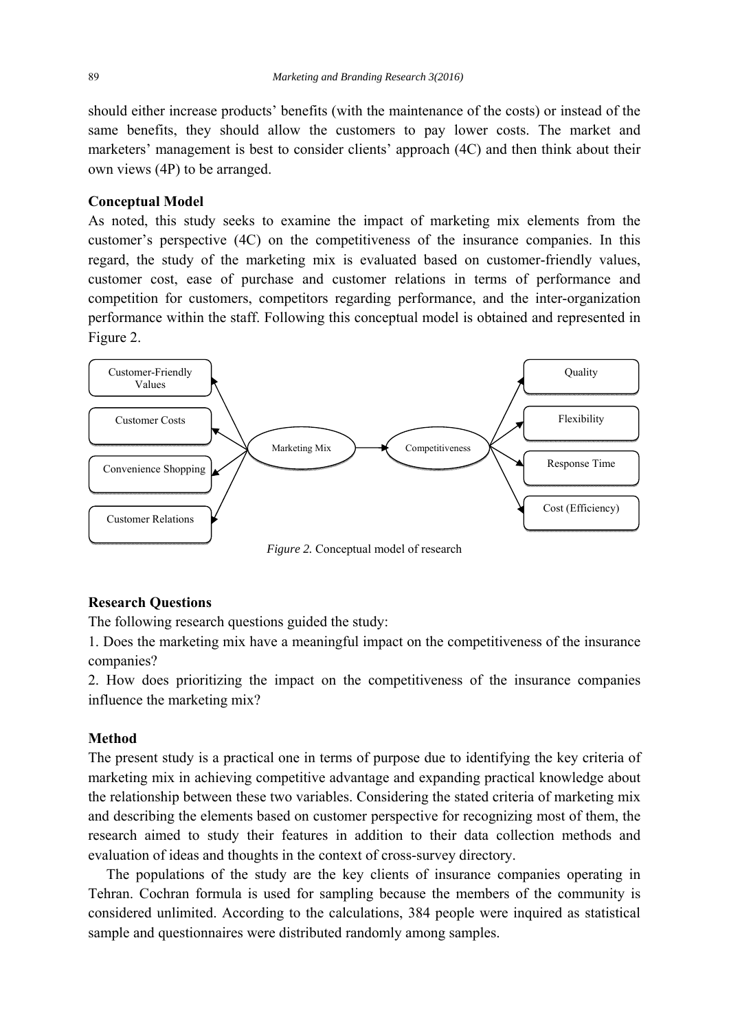should either increase products' benefits (with the maintenance of the costs) or instead of the same benefits, they should allow the customers to pay lower costs. The market and marketers' management is best to consider clients' approach (4C) and then think about their own views (4P) to be arranged.

## **Conceptual Model**

As noted, this study seeks to examine the impact of marketing mix elements from the customer's perspective (4C) on the competitiveness of the insurance companies. In this regard, the study of the marketing mix is evaluated based on customer-friendly values, customer cost, ease of purchase and customer relations in terms of performance and competition for customers, competitors regarding performance, and the inter-organization performance within the staff. Following this conceptual model is obtained and represented in Figure 2.



## *Figure 2.* Conceptual model of research

## **Research Questions**

The following research questions guided the study:

1. Does the marketing mix have a meaningful impact on the competitiveness of the insurance companies?

2. How does prioritizing the impact on the competitiveness of the insurance companies influence the marketing mix?

### **Method**

The present study is a practical one in terms of purpose due to identifying the key criteria of marketing mix in achieving competitive advantage and expanding practical knowledge about the relationship between these two variables. Considering the stated criteria of marketing mix and describing the elements based on customer perspective for recognizing most of them, the research aimed to study their features in addition to their data collection methods and evaluation of ideas and thoughts in the context of cross-survey directory.

 The populations of the study are the key clients of insurance companies operating in Tehran. Cochran formula is used for sampling because the members of the community is considered unlimited. According to the calculations, 384 people were inquired as statistical sample and questionnaires were distributed randomly among samples.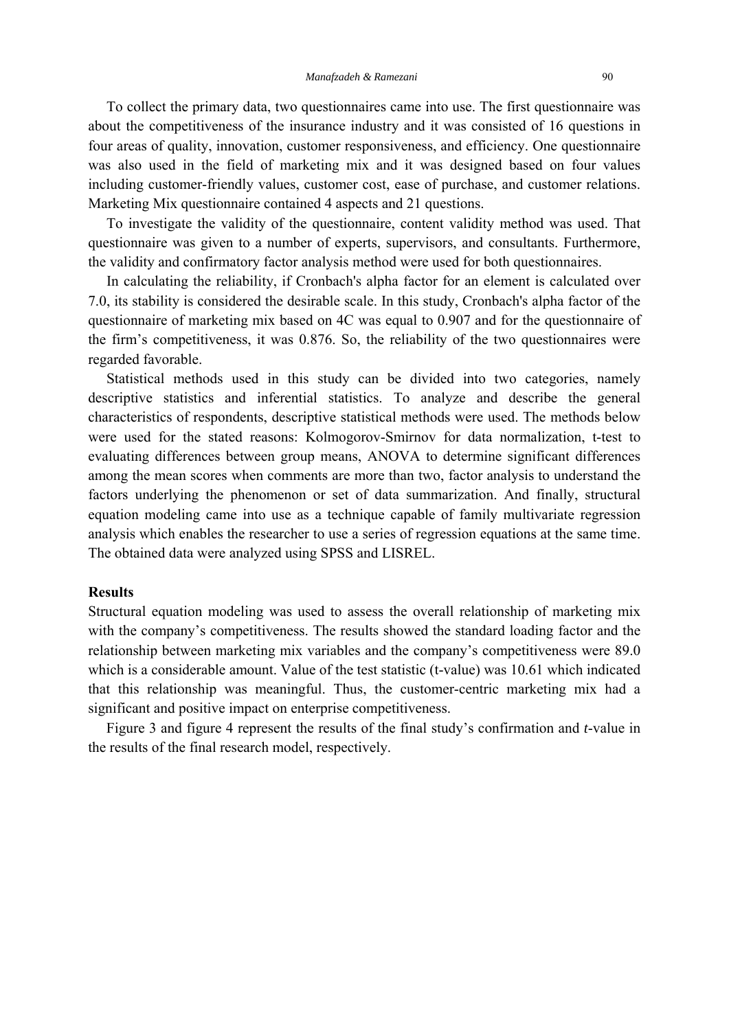To collect the primary data, two questionnaires came into use. The first questionnaire was about the competitiveness of the insurance industry and it was consisted of 16 questions in four areas of quality, innovation, customer responsiveness, and efficiency. One questionnaire was also used in the field of marketing mix and it was designed based on four values including customer-friendly values, customer cost, ease of purchase, and customer relations. Marketing Mix questionnaire contained 4 aspects and 21 questions.

 To investigate the validity of the questionnaire, content validity method was used. That questionnaire was given to a number of experts, supervisors, and consultants. Furthermore, the validity and confirmatory factor analysis method were used for both questionnaires.

 In calculating the reliability, if Cronbach's alpha factor for an element is calculated over 7.0, its stability is considered the desirable scale. In this study, Cronbach's alpha factor of the questionnaire of marketing mix based on 4C was equal to 0.907 and for the questionnaire of the firm's competitiveness, it was 0.876. So, the reliability of the two questionnaires were regarded favorable.

 Statistical methods used in this study can be divided into two categories, namely descriptive statistics and inferential statistics. To analyze and describe the general characteristics of respondents, descriptive statistical methods were used. The methods below were used for the stated reasons: Kolmogorov-Smirnov for data normalization, t-test to evaluating differences between group means, ANOVA to determine significant differences among the mean scores when comments are more than two, factor analysis to understand the factors underlying the phenomenon or set of data summarization. And finally, structural equation modeling came into use as a technique capable of family multivariate regression analysis which enables the researcher to use a series of regression equations at the same time. The obtained data were analyzed using SPSS and LISREL.

#### **Results**

Structural equation modeling was used to assess the overall relationship of marketing mix with the company's competitiveness. The results showed the standard loading factor and the relationship between marketing mix variables and the company's competitiveness were 89.0 which is a considerable amount. Value of the test statistic (t-value) was 10.61 which indicated that this relationship was meaningful. Thus, the customer-centric marketing mix had a significant and positive impact on enterprise competitiveness.

 Figure 3 and figure 4 represent the results of the final study's confirmation and *t*-value in the results of the final research model, respectively.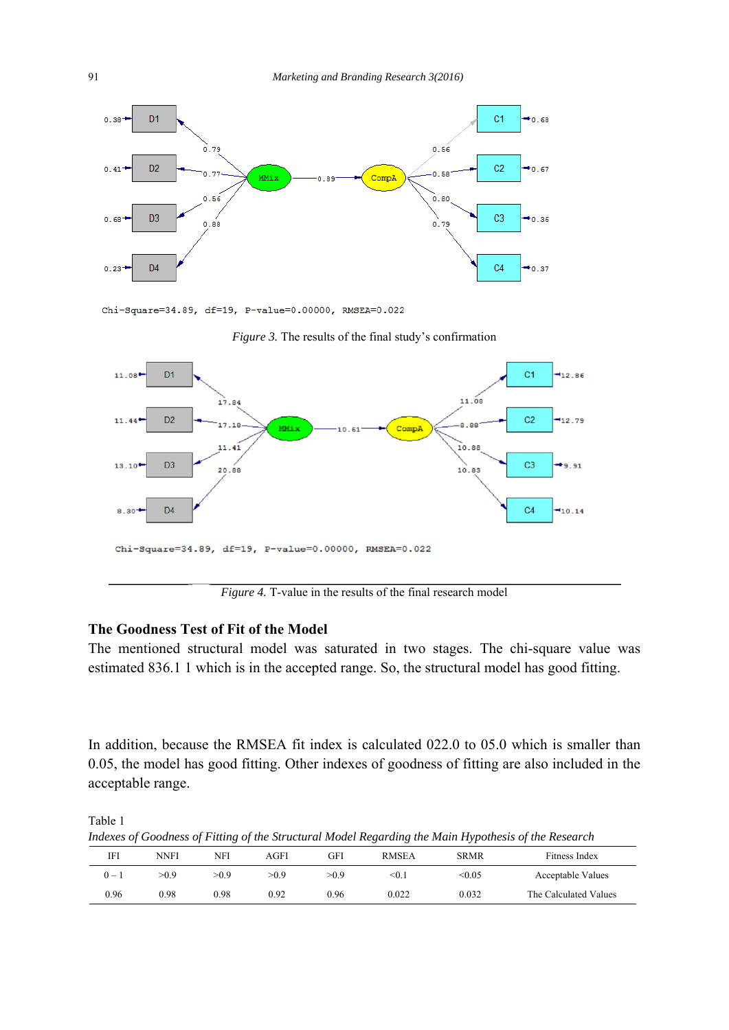

Chi-Square=34.89, df=19, P-value=0.00000, RMSEA=0.022





*Figure 4.* T-value in the results of the final research model

## **The Goodness Test of Fit of the Model**

The mentioned structural model was saturated in two stages. The chi-square value was estimated 836.1 1 which is in the accepted range. So, the structural model has good fitting.

In addition, because the RMSEA fit index is calculated 022.0 to 05.0 which is smaller than 0.05, the model has good fitting. Other indexes of goodness of fitting are also included in the acceptable range.

Table 1

*Indexes of Goodness of Fitting of the Structural Model Regarding the Main Hypothesis of the Research* 

|       |      | <br>$\sim$ |      |      | . .          | .           | . .                   |
|-------|------|------------|------|------|--------------|-------------|-----------------------|
| IFI   | NNFI | NFI        | AGFI | GFI  | <b>RMSEA</b> | <b>SRMR</b> | Fitness Index         |
| $0 -$ | >0.9 | >0.9       | >0.9 | >0.9 | < 0.1        | < 0.05      | Acceptable Values     |
| 0.96  | 0.98 | 0.98       | 0.92 | 0.96 | 0.022        | 0.032       | The Calculated Values |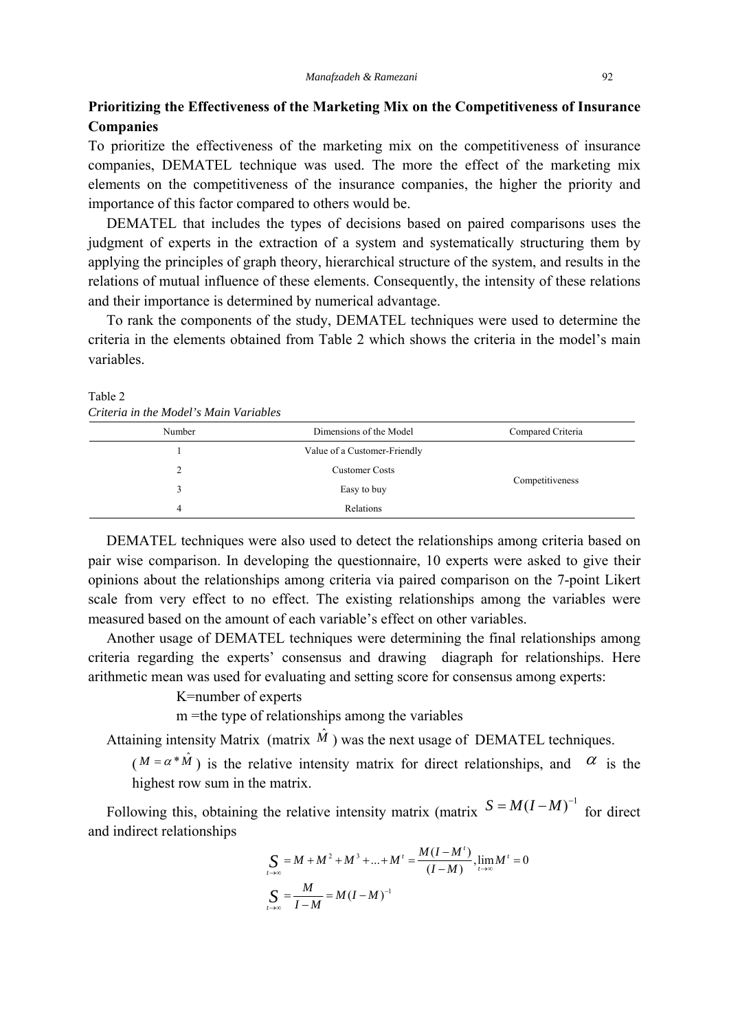## **Prioritizing the Effectiveness of the Marketing Mix on the Competitiveness of Insurance Companies**

To prioritize the effectiveness of the marketing mix on the competitiveness of insurance companies, DEMATEL technique was used. The more the effect of the marketing mix elements on the competitiveness of the insurance companies, the higher the priority and importance of this factor compared to others would be.

 DEMATEL that includes the types of decisions based on paired comparisons uses the judgment of experts in the extraction of a system and systematically structuring them by applying the principles of graph theory, hierarchical structure of the system, and results in the relations of mutual influence of these elements. Consequently, the intensity of these relations and their importance is determined by numerical advantage.

 To rank the components of the study, DEMATEL techniques were used to determine the criteria in the elements obtained from Table 2 which shows the criteria in the model's main variables.

Table 2 *Criteria in the Model's Main Variables* 

| Crucrui in me mouel s'humi variables |                              |                   |  |  |  |  |  |
|--------------------------------------|------------------------------|-------------------|--|--|--|--|--|
| Number                               | Dimensions of the Model      | Compared Criteria |  |  |  |  |  |
|                                      | Value of a Customer-Friendly |                   |  |  |  |  |  |
| າ                                    | <b>Customer Costs</b>        |                   |  |  |  |  |  |
|                                      | Easy to buy                  | Competitiveness   |  |  |  |  |  |
| 4                                    | Relations                    |                   |  |  |  |  |  |

 DEMATEL techniques were also used to detect the relationships among criteria based on pair wise comparison. In developing the questionnaire, 10 experts were asked to give their opinions about the relationships among criteria via paired comparison on the 7-point Likert scale from very effect to no effect. The existing relationships among the variables were measured based on the amount of each variable's effect on other variables.

 Another usage of DEMATEL techniques were determining the final relationships among criteria regarding the experts' consensus and drawing diagraph for relationships. Here arithmetic mean was used for evaluating and setting score for consensus among experts:

K=number of experts

m =the type of relationships among the variables

Attaining intensity Matrix (matrix  $\hat{M}$ ) was the next usage of DEMATEL techniques.

( $M = \alpha * \hat{M}$ ) is the relative intensity matrix for direct relationships, and  $\alpha$  is the highest row sum in the matrix.

Following this, obtaining the relative intensity matrix (matrix  $S = M(I-M)^{-1}$  for direct and indirect relationships

$$
\begin{aligned} \n\sum_{l \to \infty} &= M + M^2 + M^3 + \dots + M^t = \frac{M(I - M^t)}{(I - M)}, \lim_{l \to \infty} M^t = 0 \\ \n\sum_{l \to \infty} &= \frac{M}{I - M} = M(I - M)^{-1} \n\end{aligned}
$$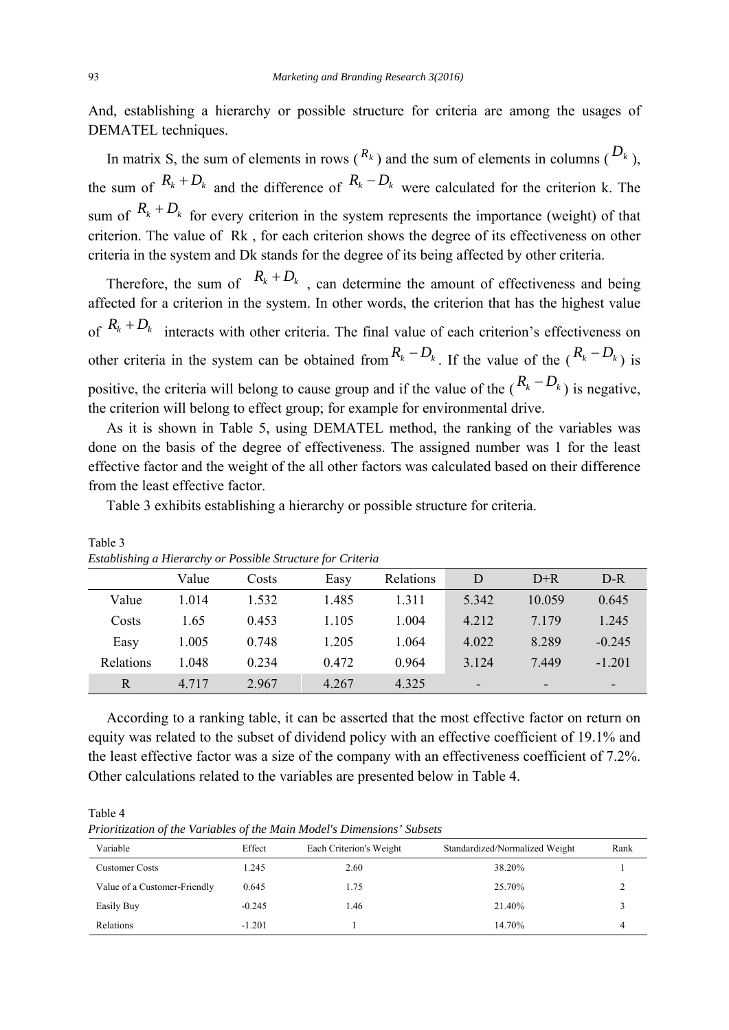And, establishing a hierarchy or possible structure for criteria are among the usages of DEMATEL techniques.

In matrix S, the sum of elements in rows  $(R_k)$  and the sum of elements in columns  $(D_k)$ , the sum of  $R_k + D_k$  and the difference of  $R_k - D_k$  were calculated for the criterion k. The sum of  $R_k + D_k$  for every criterion in the system represents the importance (weight) of that criterion. The value of Rk , for each criterion shows the degree of its effectiveness on other criteria in the system and Dk stands for the degree of its being affected by other criteria.

Therefore, the sum of  $R_k + D_k$ , can determine the amount of effectiveness and being affected for a criterion in the system. In other words, the criterion that has the highest value of  $R_k + D_k$  interacts with other criteria. The final value of each criterion's effectiveness on other criteria in the system can be obtained from  $R_k - D_k$ . If the value of the  $(R_k - D_k)$  is positive, the criteria will belong to cause group and if the value of the  $(R_k - D_k)$  is negative. the criterion will belong to effect group; for example for environmental drive.

 As it is shown in Table 5, using DEMATEL method, the ranking of the variables was done on the basis of the degree of effectiveness. The assigned number was 1 for the least effective factor and the weight of the all other factors was calculated based on their difference from the least effective factor.

Table 3 exhibits establishing a hierarchy or possible structure for criteria.

| $\Delta$ below the first that $\alpha$ is the first parameter of $\alpha$ in the first formulation $\alpha$ |       |       |       |           |                              |         |                          |
|-------------------------------------------------------------------------------------------------------------|-------|-------|-------|-----------|------------------------------|---------|--------------------------|
|                                                                                                             | Value | Costs | Easy  | Relations | D                            | $D+R$   | D-R                      |
| Value                                                                                                       | 1.014 | 1.532 | 1.485 | 1.311     | 5.342                        | 10.059  | 0.645                    |
| Costs                                                                                                       | 1.65  | 0.453 | 1.105 | 1.004     | 4.212                        | 7 1 7 9 | 1.245                    |
| Easy                                                                                                        | 1.005 | 0.748 | 1.205 | 1.064     | 4.022                        | 8.289   | $-0.245$                 |
| Relations                                                                                                   | 1.048 | 0.234 | 0.472 | 0.964     | 3.124                        | 7.449   | $-1.201$                 |
| R                                                                                                           | 4.717 | 2.967 | 4.267 | 4.325     | $\qquad \qquad \blacksquare$ | -       | $\overline{\phantom{a}}$ |

Table 3 *Establishing a Hierarchy or Possible Structure for Criteria* 

 According to a ranking table, it can be asserted that the most effective factor on return on equity was related to the subset of dividend policy with an effective coefficient of 19.1% and the least effective factor was a size of the company with an effectiveness coefficient of 7.2%. Other calculations related to the variables are presented below in Table 4.

Table 4

*Prioritization of the Variables of the Main Model's Dimensions' Subsets* 

| Variable                     | Effect   | Each Criterion's Weight | Standardized/Normalized Weight | Rank |
|------------------------------|----------|-------------------------|--------------------------------|------|
| <b>Customer Costs</b>        | 1.245    | 2.60                    | 38.20%                         |      |
| Value of a Customer-Friendly | 0.645    | 1.75                    | 25.70%                         |      |
| Easily Buy                   | $-0.245$ | 1.46                    | 21.40%                         |      |
| Relations                    | $-1.201$ |                         | 14.70%                         |      |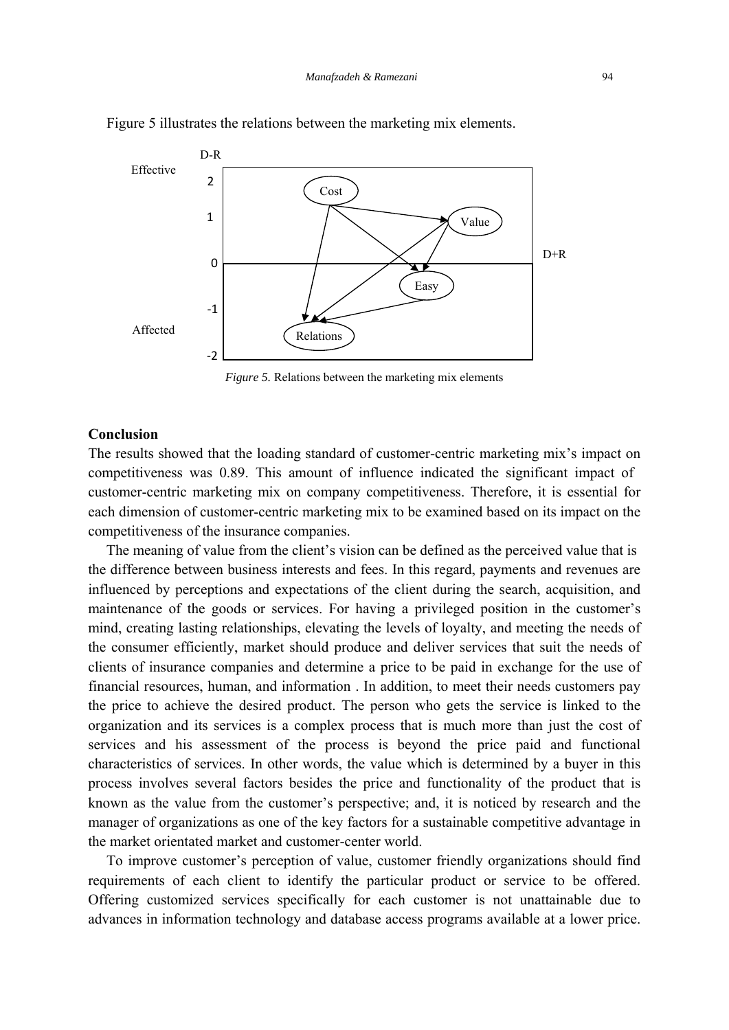

Figure 5 illustrates the relations between the marketing mix elements.

*Figure 5.* Relations between the marketing mix elements

## **Conclusion**

The results showed that the loading standard of customer-centric marketing mix's impact on competitiveness was 0.89. This amount of influence indicated the significant impact of customer-centric marketing mix on company competitiveness. Therefore, it is essential for each dimension of customer-centric marketing mix to be examined based on its impact on the competitiveness of the insurance companies.

 The meaning of value from the client's vision can be defined as the perceived value that is the difference between business interests and fees. In this regard, payments and revenues are influenced by perceptions and expectations of the client during the search, acquisition, and maintenance of the goods or services. For having a privileged position in the customer's mind, creating lasting relationships, elevating the levels of loyalty, and meeting the needs of the consumer efficiently, market should produce and deliver services that suit the needs of clients of insurance companies and determine a price to be paid in exchange for the use of financial resources, human, and information . In addition, to meet their needs customers pay the price to achieve the desired product. The person who gets the service is linked to the organization and its services is a complex process that is much more than just the cost of services and his assessment of the process is beyond the price paid and functional characteristics of services. In other words, the value which is determined by a buyer in this process involves several factors besides the price and functionality of the product that is known as the value from the customer's perspective; and, it is noticed by research and the manager of organizations as one of the key factors for a sustainable competitive advantage in the market orientated market and customer-center world.

 To improve customer's perception of value, customer friendly organizations should find requirements of each client to identify the particular product or service to be offered. Offering customized services specifically for each customer is not unattainable due to advances in information technology and database access programs available at a lower price.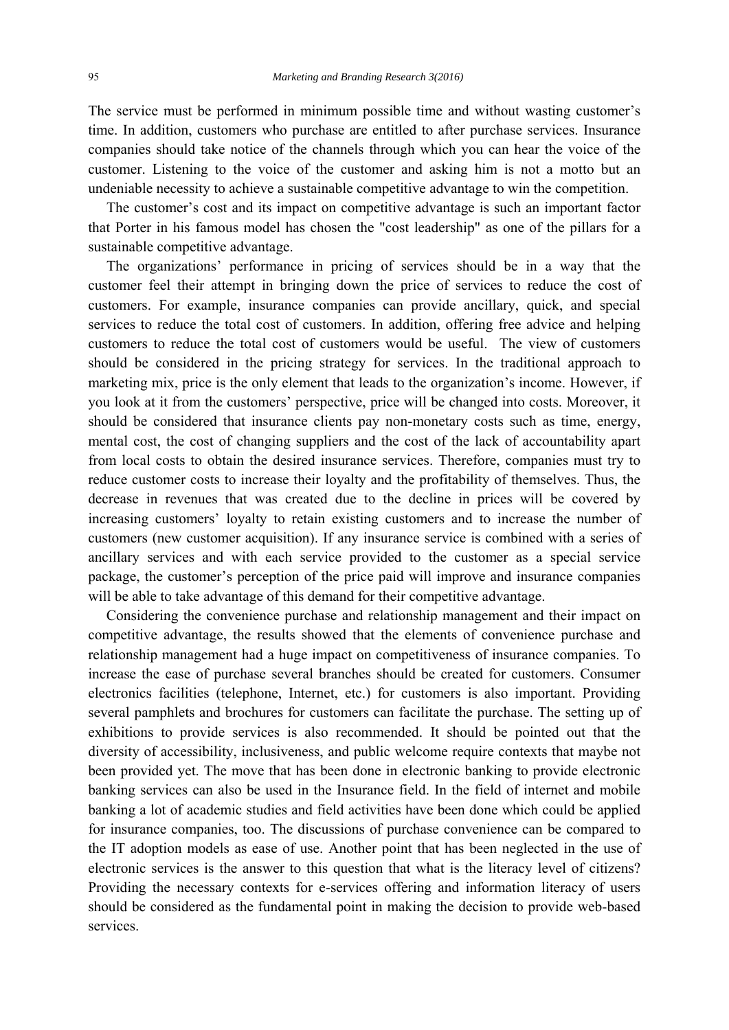The service must be performed in minimum possible time and without wasting customer's time. In addition, customers who purchase are entitled to after purchase services. Insurance companies should take notice of the channels through which you can hear the voice of the customer. Listening to the voice of the customer and asking him is not a motto but an undeniable necessity to achieve a sustainable competitive advantage to win the competition.

 The customer's cost and its impact on competitive advantage is such an important factor that Porter in his famous model has chosen the "cost leadership" as one of the pillars for a sustainable competitive advantage.

 The organizations' performance in pricing of services should be in a way that the customer feel their attempt in bringing down the price of services to reduce the cost of customers. For example, insurance companies can provide ancillary, quick, and special services to reduce the total cost of customers. In addition, offering free advice and helping customers to reduce the total cost of customers would be useful. The view of customers should be considered in the pricing strategy for services. In the traditional approach to marketing mix, price is the only element that leads to the organization's income. However, if you look at it from the customers' perspective, price will be changed into costs. Moreover, it should be considered that insurance clients pay non-monetary costs such as time, energy, mental cost, the cost of changing suppliers and the cost of the lack of accountability apart from local costs to obtain the desired insurance services. Therefore, companies must try to reduce customer costs to increase their loyalty and the profitability of themselves. Thus, the decrease in revenues that was created due to the decline in prices will be covered by increasing customers' loyalty to retain existing customers and to increase the number of customers (new customer acquisition). If any insurance service is combined with a series of ancillary services and with each service provided to the customer as a special service package, the customer's perception of the price paid will improve and insurance companies will be able to take advantage of this demand for their competitive advantage.

 Considering the convenience purchase and relationship management and their impact on competitive advantage, the results showed that the elements of convenience purchase and relationship management had a huge impact on competitiveness of insurance companies. To increase the ease of purchase several branches should be created for customers. Consumer electronics facilities (telephone, Internet, etc.) for customers is also important. Providing several pamphlets and brochures for customers can facilitate the purchase. The setting up of exhibitions to provide services is also recommended. It should be pointed out that the diversity of accessibility, inclusiveness, and public welcome require contexts that maybe not been provided yet. The move that has been done in electronic banking to provide electronic banking services can also be used in the Insurance field. In the field of internet and mobile banking a lot of academic studies and field activities have been done which could be applied for insurance companies, too. The discussions of purchase convenience can be compared to the IT adoption models as ease of use. Another point that has been neglected in the use of electronic services is the answer to this question that what is the literacy level of citizens? Providing the necessary contexts for e-services offering and information literacy of users should be considered as the fundamental point in making the decision to provide web-based services.